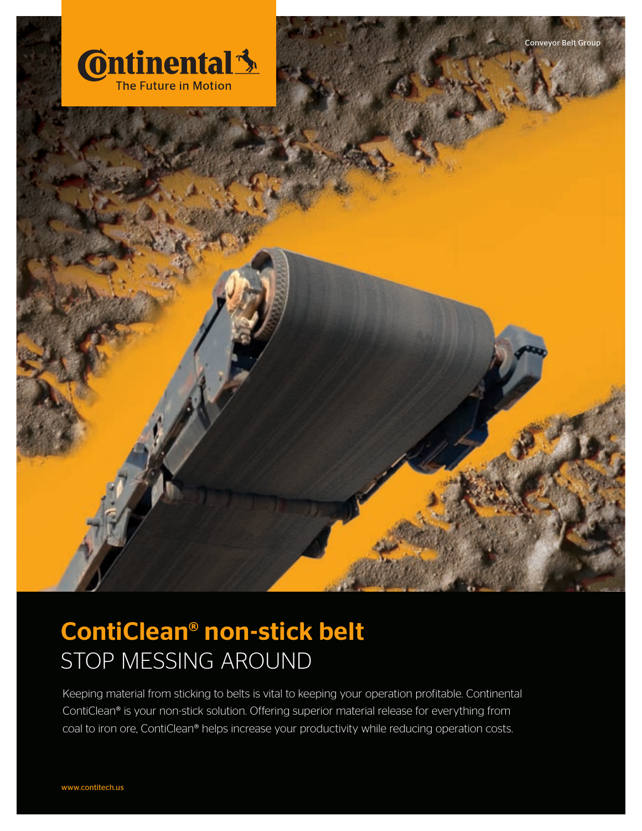



Keeping material from sticking to belts is vital to keeping your operation profitable. Continental ContiClean® is your non-stick solution. Offering superior material release for everything from coal to iron ore, ContiClean® helps increase your productivity while reducing operation costs.